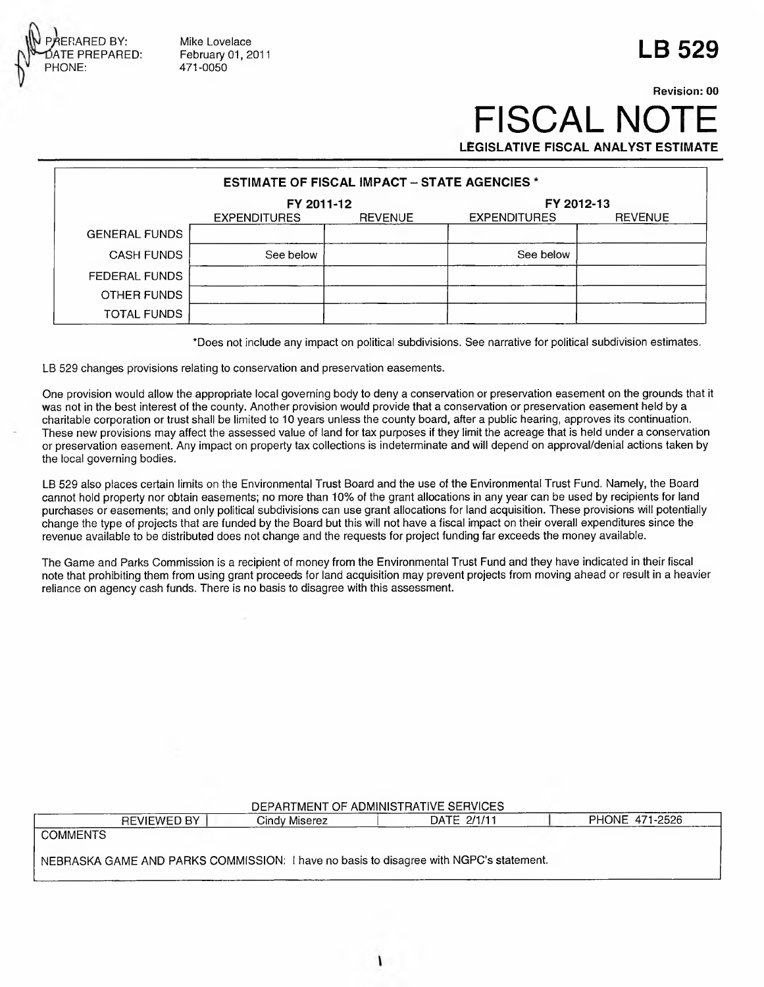

**Mike Lovelace February 01, 2011 471-0050**

## **Revision: 00 FISCAL NO**

**LB 529**

**LEGISLATIVE FISCAL ANALYST ESTIMATE**

| <b>ESTIMATE OF FISCAL IMPACT - STATE AGENCIES *</b> |                     |                |                     |                |  |  |  |  |  |
|-----------------------------------------------------|---------------------|----------------|---------------------|----------------|--|--|--|--|--|
|                                                     | FY 2011-12          |                | FY 2012-13          |                |  |  |  |  |  |
|                                                     | <b>EXPENDITURES</b> | <b>REVENUE</b> | <b>EXPENDITURES</b> | <b>REVENUE</b> |  |  |  |  |  |
| <b>GENERAL FUNDS</b>                                |                     |                |                     |                |  |  |  |  |  |
| <b>CASH FUNDS</b>                                   | See below           |                | See below           |                |  |  |  |  |  |
| FEDERAL FUNDS                                       |                     |                |                     |                |  |  |  |  |  |
| OTHER FUNDS                                         |                     |                |                     |                |  |  |  |  |  |
| <b>TOTAL FUNDS</b>                                  |                     |                |                     |                |  |  |  |  |  |

**'Does not include any impact on political subdivisions. See narrative for political subdivision estimates.**

**LB 529 changes provisions relating to conservation and preservation easements.**

**One provision would allow the appropriate local governing body to deny a conservation or preservation easement on the grounds that it was not in the best interest of the county. Another provision would provide that a conservation or preservation easement held by a charitable corporation or trust shall be limited to 10 years unless the county board, after a public hearing, approves its continuation. These new provisions may affect the assessed value of land for tax purposes if they limit the acreage that is held under a conservation or preservation easement. Any impact on property tax collections is indeterminate and will depend on approval/denial actions taken by the local governing bodies.**

LB 529 also places certain limits on the Environmental Trust Board and the use of the Environmental Trust Fund. Namely, the Board **cannot hold property nor obtain easements; no more than 10% of the grant allocations in any year can be used by recipients for land purchases or easements; and only political subdivisions can use grant allocations for land acquisition. These provisions will potentially change the type of projects that are funded by the Board but this will not have a fiscal impact on their overall expenditures since the revenue available to be distributed does not change and the requests for project funding far exceeds the money available.**

**The Game and Parks Commission is a recipient of money from the Environmental Trust Fund and they have indicated in their fiscal note that prohibiting them from using grant proceeds for land acquisition may prevent projects from moving ahead or result in a heavier reliance on agency cash funds. There is no basis to disagree with this assessment.**

## **DEPARTMENT OF ADMINISTRATIVE SERVICES**

**REVIEWED BY Cindy Miserez j DATE 2/1/11 PHONE 471-2526**

**COMMENTS**

**NEBRASKA GAME AND PARKS COMMISSION: I have no basis to disagree with NGPC's statement.**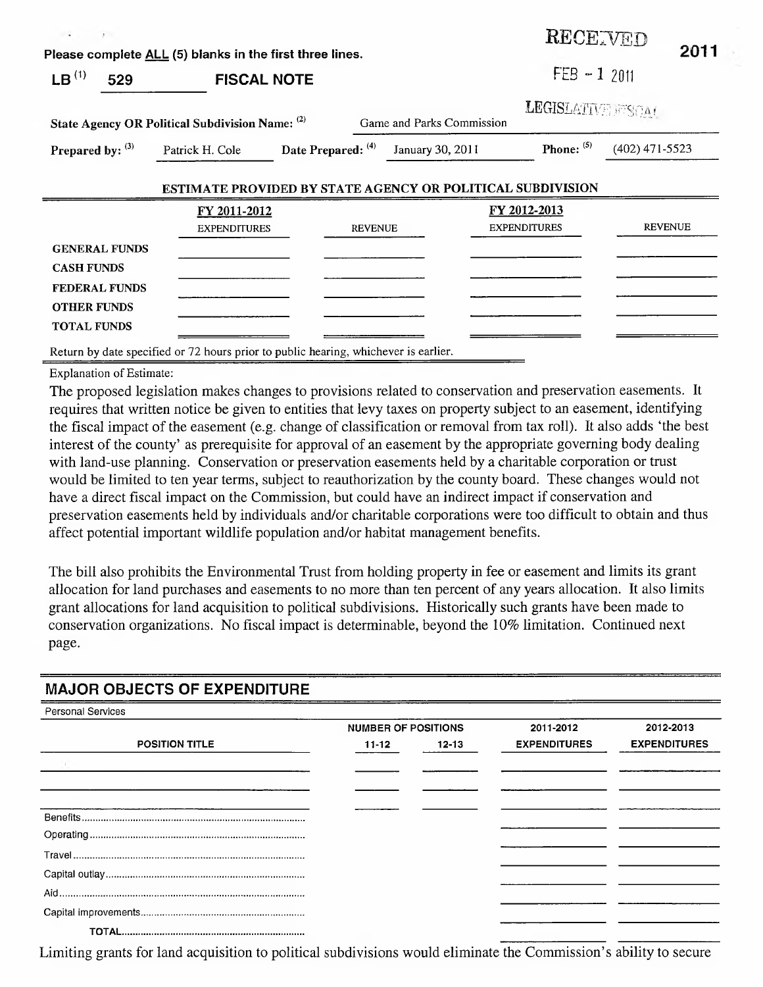| $\sim$<br>$\sim$                                                                                              |                                                                                                   |                    |                           | RECETVED                            | 2011             |
|---------------------------------------------------------------------------------------------------------------|---------------------------------------------------------------------------------------------------|--------------------|---------------------------|-------------------------------------|------------------|
|                                                                                                               | Please complete ALL (5) blanks in the first three lines.                                          |                    |                           |                                     |                  |
| LB <sup>(1)</sup><br>529                                                                                      | <b>FISCAL NOTE</b>                                                                                |                    |                           | $FEB - 12011$                       |                  |
|                                                                                                               | State Agency OR Political Subdivision Name: (2)                                                   |                    | Game and Parks Commission | LEGISLATIVE FISCAL                  |                  |
| Prepared by: (3)                                                                                              | Patrick H. Cole                                                                                   | Date Prepared: (4) | January 30, 2011          | Phone: (5)                          | $(402)$ 471-5523 |
|                                                                                                               | ESTIMATE PROVIDED BY STATE AGENCY OR POLITICAL SUBDIVISION<br>FY 2011-2012<br><b>EXPENDITURES</b> | <b>REVENUE</b>     |                           | FY 2012-2013<br><b>EXPENDITURES</b> | <b>REVENUE</b>   |
| <b>GENERAL FUNDS</b><br><b>CASH FUNDS</b><br><b>FEDERAL FUNDS</b><br><b>OTHER FUNDS</b><br><b>TOTAL FUNDS</b> |                                                                                                   |                    |                           |                                     |                  |

**Return by date specified or 72 hours prior to public hearing, whichever is earlier.**

**Explanation of Estimate:**

The proposed legislation makes changes to provisions related to conservation and preservation easements. It requires that written notice be given to entities that levy taxes on property subject to an easement, identifying the fiscal impact of the easement (e.g. change of classification or removal from tax roll). It also adds 'the best interest of the county' as prerequisite for approval of an easement by the appropriate governing body dealing with land-use planning. Conservation or preservation easements held by a charitable corporation or trust would be limited to ten year terms, subject to reauthorization by the county board. These changes would not have a direct fiscal impact on the Commission, but could have an indirect impact if conservation and preservation easements held by individuals and/or charitable corporations were too difficult to obtain and thus affect potential important wildlife population and/or habitat management benefits.

The bill also prohibits the Environmental Trust from holding property in fee or easement and limits its grant allocation for land purchases and easements to no more than ten percent of any years allocation. It also limits grant allocations for land acquisition to political subdivisions. Historically such grants have been made to conservation organizations. No fiscal impact is determinable, beyond the 10% limitation. Continued next page.

## **MAJOR OBJECTS OF EXPENDITURE**

| <b>Personal Services</b> |                            |           |                     |                     |
|--------------------------|----------------------------|-----------|---------------------|---------------------|
|                          | <b>NUMBER OF POSITIONS</b> |           | 2011-2012           | 2012-2013           |
| <b>POSITION TITLE</b>    | 11-12                      | $12 - 13$ | <b>EXPENDITURES</b> | <b>EXPENDITURES</b> |
|                          |                            |           |                     |                     |
|                          |                            |           |                     |                     |
|                          |                            |           |                     |                     |
|                          |                            |           |                     |                     |
|                          |                            |           |                     |                     |
|                          |                            |           |                     |                     |
|                          |                            |           |                     |                     |
|                          |                            |           |                     |                     |
|                          |                            |           |                     |                     |
|                          |                            |           |                     |                     |

Limiting grants for land acquisition to political subdivisions would eliminate the Commission's ability to secure